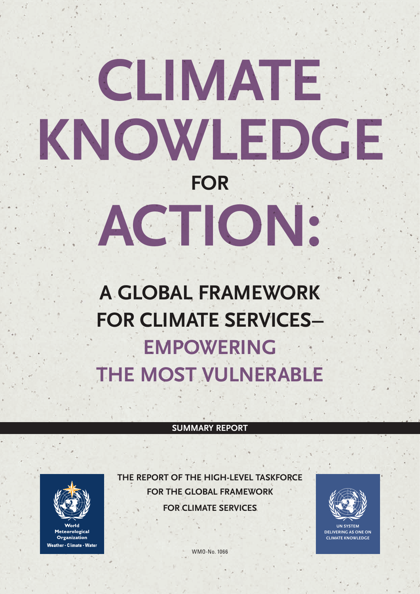# **CLIMATE knowledge for action:**

## **A Global Framework for Climate Services– empowering the most vulnerable**

#### **Summary Report**



Meteorological **Organization** Weather • Climate • Water **The Report of the High-Level Taskforce for the Global Framework for Climate Services**



**UN System delivering as one on climate knowledge**

WMO-No. 1066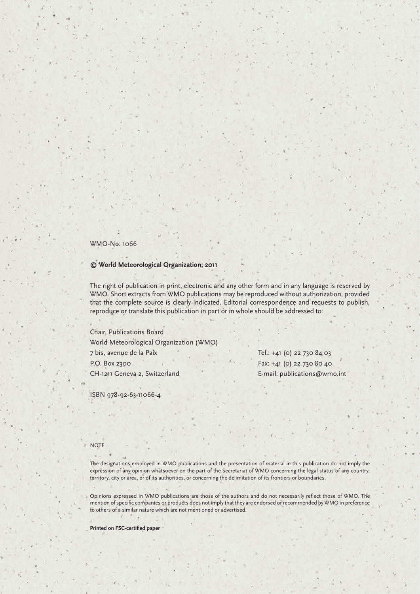#### WMO-No. 1066

#### **© World Meteorological Organization, 2011**

The right of publication in print, electronic and any other form and in any language is reserved by WMO. Short extracts from WMO publications may be reproduced without authorization, provided that the complete source is clearly indicated. Editorial correspondence and requests to publish, reproduce or translate this publication in part or in whole should be addressed to:

Chair, Publications Board

World Meteorological Organization (WMO)

7 bis, avenue de la Paix Tel.: +41 (0) 22 730 84 03 P.O. Box 2300 Fax: +41 (0) 22 730 80 40

CH-1211 Geneva 2, Switzerland E-mail: publications@wmo.int

ISBN 978-92-63-11066-4

### **NOTE**

The designations employed in WMO publications and the presentation of material in this publication do not imply the expression of any opinion whatsoever on the part of the Secretariat of WMO concerning the legal status of any country, territory, city or area, or of its authorities, or concerning the delimitation of its frontiers or boundaries.

Opinions expressed in WMO publications are those of the authors and do not necessarily reflect those of WMO. The mention of specific companies or products does not imply that they are endorsed or recommended by WMO in preference to others of a similar nature which are not mentioned or advertised.

**Printed on FSC-certified paper**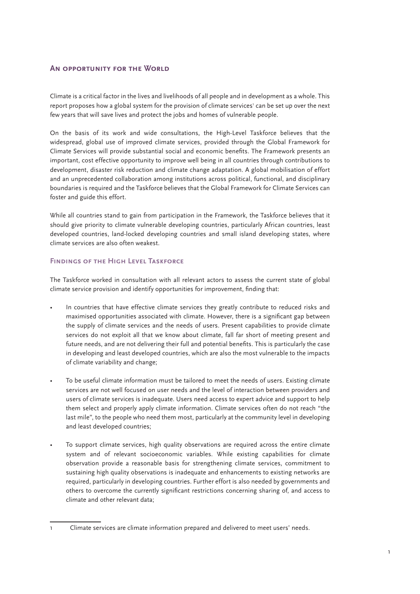#### **AN OPPORTUNITY FOR THE WORLD**

Climate is a critical factor in the lives and livelihoods of all people and in development as a whole. This report proposes how a global system for the provision of climate services' can be set up over the next few years that will save lives and protect the jobs and homes of vulnerable people.

On the basis of its work and wide consultations, the High-Level Taskforce believes that the widespread, global use of improved climate services, provided through the Global Framework for Climate Services will provide substantial social and economic benefits. The Framework presents an important, cost effective opportunity to improve well being in all countries through contributions to development, disaster risk reduction and climate change adaptation. A global mobilisation of effort and an unprecedented collaboration among institutions across political, functional, and disciplinary boundaries is required and the Taskforce believes that the Global Framework for Climate Services can foster and guide this effort.

While all countries stand to gain from participation in the Framework, the Taskforce believes that it should give priority to climate vulnerable developing countries, particularly African countries, least developed countries, land-locked developing countries and small island developing states, where climate services are also often weakest.

#### **Findings of the High Level Taskforce**

The Taskforce worked in consultation with all relevant actors to assess the current state of global climate service provision and identify opportunities for improvement, finding that:

- In countries that have effective climate services they greatly contribute to reduced risks and maximised opportunities associated with climate. However, there is a significant gap between the supply of climate services and the needs of users. Present capabilities to provide climate services do not exploit all that we know about climate, fall far short of meeting present and future needs, and are not delivering their full and potential benefits. This is particularly the case in developing and least developed countries, which are also the most vulnerable to the impacts of climate variability and change;
- To be useful climate information must be tailored to meet the needs of users. Existing climate services are not well focused on user needs and the level of interaction between providers and users of climate services is inadequate. Users need access to expert advice and support to help them select and properly apply climate information. Climate services often do not reach "the last mile", to the people who need them most, particularly at the community level in developing and least developed countries;
- To support climate services, high quality observations are required across the entire climate system and of relevant socioeconomic variables. While existing capabilities for climate observation provide a reasonable basis for strengthening climate services, commitment to sustaining high quality observations is inadequate and enhancements to existing networks are required, particularly in developing countries. Further effort is also needed by governments and others to overcome the currently significant restrictions concerning sharing of, and access to climate and other relevant data;

<sup>1</sup> Climate services are climate information prepared and delivered to meet users' needs.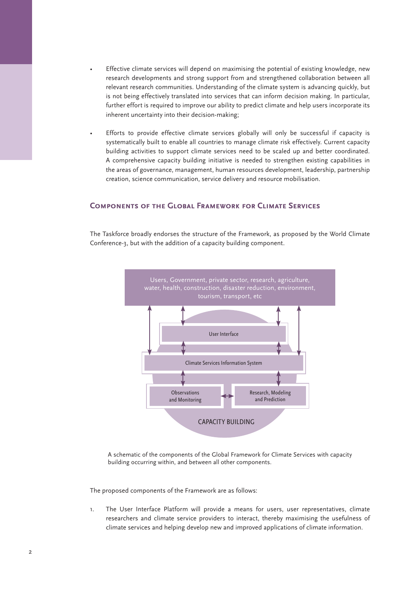- Effective climate services will depend on maximising the potential of existing knowledge, new research developments and strong support from and strengthened collaboration between all relevant research communities. Understanding of the climate system is advancing quickly, but is not being effectively translated into services that can inform decision making. In particular, further effort is required to improve our ability to predict climate and help users incorporate its inherent uncertainty into their decision-making;
- Efforts to provide effective climate services globally will only be successful if capacity is systematically built to enable all countries to manage climate risk effectively. Current capacity building activities to support climate services need to be scaled up and better coordinated. A comprehensive capacity building initiative is needed to strengthen existing capabilities in the areas of governance, management, human resources development, leadership, partnership creation, science communication, service delivery and resource mobilisation.

#### **Components of the Global Framework for Climate Services**

The Taskforce broadly endorses the structure of the Framework, as proposed by the World Climate Conference-3, but with the addition of a capacity building component.



A schematic of the components of the Global Framework for Climate Services with capacity building occurring within, and between all other components.

The proposed components of the Framework are as follows:

1. The User Interface Platform will provide a means for users, user representatives, climate researchers and climate service providers to interact, thereby maximising the usefulness of climate services and helping develop new and improved applications of climate information.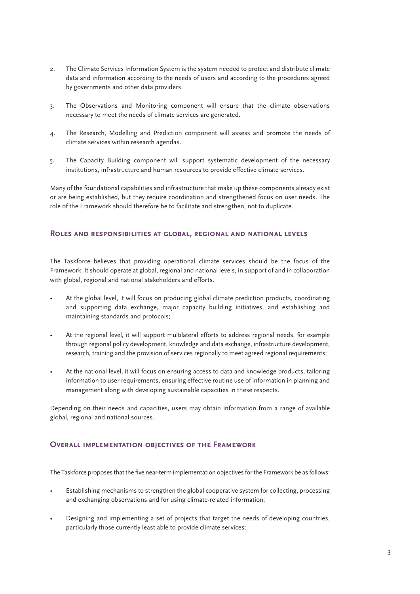- 2. The Climate Services Information System is the system needed to protect and distribute climate data and information according to the needs of users and according to the procedures agreed by governments and other data providers.
- 3. The Observations and Monitoring component will ensure that the climate observations necessary to meet the needs of climate services are generated.
- 4. The Research, Modelling and Prediction component will assess and promote the needs of climate services within research agendas.
- 5. The Capacity Building component will support systematic development of the necessary institutions, infrastructure and human resources to provide effective climate services.

Many of the foundational capabilities and infrastructure that make up these components already exist or are being established, but they require coordination and strengthened focus on user needs. The role of the Framework should therefore be to facilitate and strengthen, not to duplicate.

#### **Roles and responsibilities at global, regional and national levels**

The Taskforce believes that providing operational climate services should be the focus of the Framework. It should operate at global, regional and national levels, in support of and in collaboration with global, regional and national stakeholders and efforts.

- At the global level, it will focus on producing global climate prediction products, coordinating and supporting data exchange, major capacity building initiatives, and establishing and maintaining standards and protocols;
- At the regional level, it will support multilateral efforts to address regional needs, for example through regional policy development, knowledge and data exchange, infrastructure development, research, training and the provision of services regionally to meet agreed regional requirements;
- At the national level, it will focus on ensuring access to data and knowledge products, tailoring information to user requirements, ensuring effective routine use of information in planning and management along with developing sustainable capacities in these respects.

Depending on their needs and capacities, users may obtain information from a range of available global, regional and national sources.

#### **Overall implementation objectives of the Framework**

The Taskforce proposes that the five near-term implementation objectives for the Framework be as follows:

- Establishing mechanisms to strengthen the global cooperative system for collecting, processing and exchanging observations and for using climate-related information;
- Designing and implementing a set of projects that target the needs of developing countries, particularly those currently least able to provide climate services;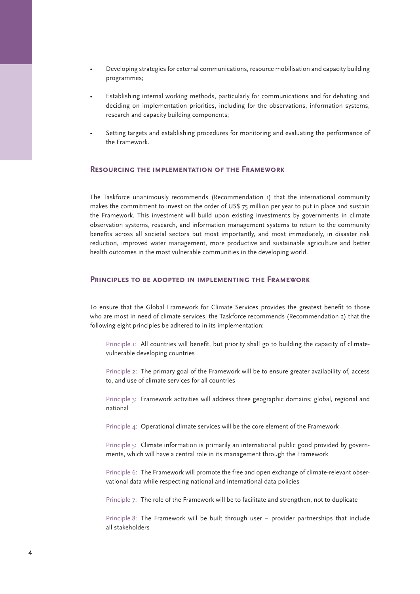- Developing strategies for external communications, resource mobilisation and capacity building programmes;
- Establishing internal working methods, particularly for communications and for debating and deciding on implementation priorities, including for the observations, information systems, research and capacity building components;
- Setting targets and establishing procedures for monitoring and evaluating the performance of the Framework.

#### **Resourcing the implementation of the Framework**

The Taskforce unanimously recommends (Recommendation 1) that the international community makes the commitment to invest on the order of US\$ 75 million per year to put in place and sustain the Framework. This investment will build upon existing investments by governments in climate observation systems, research, and information management systems to return to the community benefits across all societal sectors but most importantly, and most immediately, in disaster risk reduction, improved water management, more productive and sustainable agriculture and better health outcomes in the most vulnerable communities in the developing world.

#### **Principles to be adopted in implementing the Framework**

To ensure that the Global Framework for Climate Services provides the greatest benefit to those who are most in need of climate services, the Taskforce recommends (Recommendation 2) that the following eight principles be adhered to in its implementation:

Principle 1: All countries will benefit, but priority shall go to building the capacity of climatevulnerable developing countries

Principle 2: The primary goal of the Framework will be to ensure greater availability of, access to, and use of climate services for all countries

Principle 3: Framework activities will address three geographic domains; global, regional and national

Principle 4: Operational climate services will be the core element of the Framework

Principle 5: Climate information is primarily an international public good provided by governments, which will have a central role in its management through the Framework

Principle 6: The Framework will promote the free and open exchange of climate-relevant observational data while respecting national and international data policies

Principle 7: The role of the Framework will be to facilitate and strengthen, not to duplicate

Principle 8: The Framework will be built through user – provider partnerships that include all stakeholders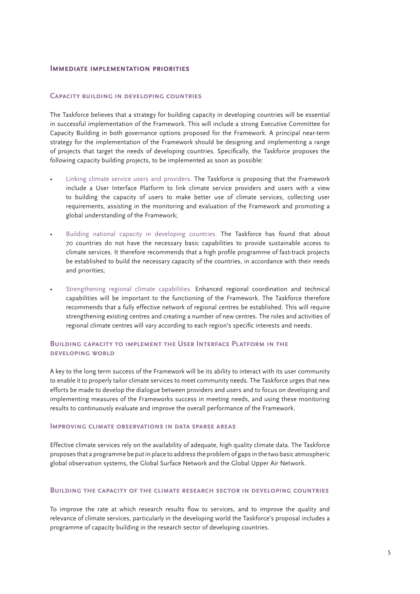#### **Immediate implementation priorities**

#### **Capacity building in developing countries**

The Taskforce believes that a strategy for building capacity in developing countries will be essential in successful implementation of the Framework. This will include a strong Executive Committee for Capacity Building in both governance options proposed for the Framework. A principal near-term strategy for the implementation of the Framework should be designing and implementing a range of projects that target the needs of developing countries. Specifically, the Taskforce proposes the following capacity building projects, to be implemented as soon as possible:

- Linking climate service users and providers. The Taskforce is proposing that the Framework include a User Interface Platform to link climate service providers and users with a view to building the capacity of users to make better use of climate services, collecting user requirements, assisting in the monitoring and evaluation of the Framework and promoting a global understanding of the Framework;
- Building national capacity in developing countries. The Taskforce has found that about 70 countries do not have the necessary basic capabilities to provide sustainable access to climate services. It therefore recommends that a high profile programme of fast-track projects be established to build the necessary capacity of the countries, in accordance with their needs and priorities;
- Strengthening regional climate capabilities. Enhanced regional coordination and technical capabilities will be important to the functioning of the Framework. The Taskforce therefore recommends that a fully effective network of regional centres be established. This will require strengthening existing centres and creating a number of new centres. The roles and activities of regional climate centres will vary according to each region's specific interests and needs.

#### **Building capacity to implement the User Interface Platform in the developing world**

A key to the long term success of the Framework will be its ability to interact with its user community to enable it to properly tailor climate services to meet community needs. The Taskforce urges that new efforts be made to develop the dialogue between providers and users and to focus on developing and implementing measures of the Frameworks success in meeting needs, and using these monitoring results to continuously evaluate and improve the overall performance of the Framework.

#### **Improving climate observations in data sparse areas**

Effective climate services rely on the availability of adequate, high quality climate data. The Taskforce proposes that a programme be put in place to address the problem of gaps in the two basic atmospheric global observation systems, the Global Surface Network and the Global Upper Air Network.

#### **Building the capacity of the climate research sector in developing countries**

To improve the rate at which research results flow to services, and to improve the quality and relevance of climate services, particularly in the developing world the Taskforce's proposal includes a programme of capacity building in the research sector of developing countries.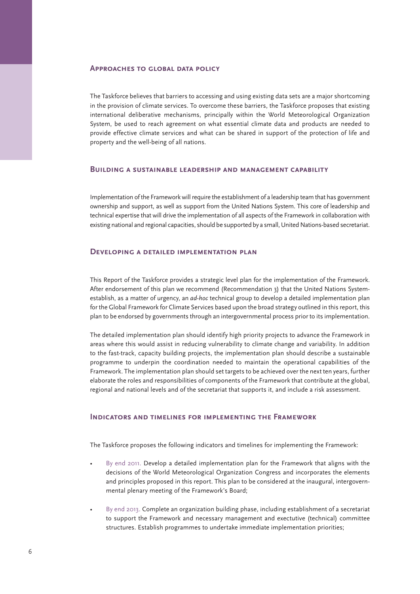#### **Approaches to global data policy**

The Taskforce believes that barriers to accessing and using existing data sets are a major shortcoming in the provision of climate services. To overcome these barriers, the Taskforce proposes that existing international deliberative mechanisms, principally within the World Meteorological Organization System, be used to reach agreement on what essential climate data and products are needed to provide effective climate services and what can be shared in support of the protection of life and property and the well-being of all nations.

#### **Building a sustainable leadership and management capability**

Implementation of the Framework will require the establishment of a leadership team that has government ownership and support, as well as support from the United Nations System. This core of leadership and technical expertise that will drive the implementation of all aspects of the Framework in collaboration with existing national and regional capacities, should be supported by a small, United Nations-based secretariat.

#### **Developing a detailed implementation plan**

This Report of the Taskforce provides a strategic level plan for the implementation of the Framework. After endorsement of this plan we recommend (Recommendation 3) that the United Nations Systemestablish, as a matter of urgency, an *ad-hoc* technical group to develop a detailed implementation plan for the Global Framework for Climate Services based upon the broad strategy outlined in this report, this plan to be endorsed by governments through an intergovernmental process prior to its implementation.

The detailed implementation plan should identify high priority projects to advance the Framework in areas where this would assist in reducing vulnerability to climate change and variability. In addition to the fast-track, capacity building projects, the implementation plan should describe a sustainable programme to underpin the coordination needed to maintain the operational capabilities of the Framework. The implementation plan should set targets to be achieved over the next ten years, further elaborate the roles and responsibilities of components of the Framework that contribute at the global, regional and national levels and of the secretariat that supports it, and include a risk assessment.

#### **Indicators and timelines for implementing the Framework**

The Taskforce proposes the following indicators and timelines for implementing the Framework:

- By end 2011. Develop a detailed implementation plan for the Framework that aligns with the decisions of the World Meteorological Organization Congress and incorporates the elements and principles proposed in this report. This plan to be considered at the inaugural, intergovernmental plenary meeting of the Framework's Board;
- By end 2013. Complete an organization building phase, including establishment of a secretariat to support the Framework and necessary management and exectutive (technical) committee structures. Establish programmes to undertake immediate implementation priorities;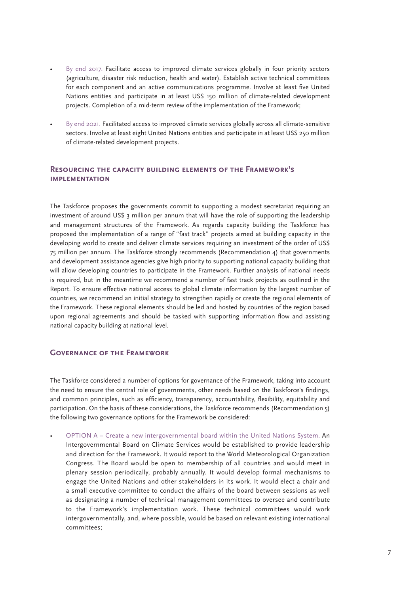- By end 2017. Facilitate access to improved climate services globally in four priority sectors (agriculture, disaster risk reduction, health and water). Establish active technical committees for each component and an active communications programme. Involve at least five United Nations entities and participate in at least US\$ 150 million of climate-related development projects. Completion of a mid-term review of the implementation of the Framework;
- By end 2021. Facilitated access to improved climate services globally across all climate-sensitive sectors. Involve at least eight United Nations entities and participate in at least US\$ 250 million of climate-related development projects.

#### **Resourcing the capacity building elements of the Framework's implementation**

The Taskforce proposes the governments commit to supporting a modest secretariat requiring an investment of around US\$ 3 million per annum that will have the role of supporting the leadership and management structures of the Framework. As regards capacity building the Taskforce has proposed the implementation of a range of "fast track" projects aimed at building capacity in the developing world to create and deliver climate services requiring an investment of the order of US\$ 75 million per annum. The Taskforce strongly recommends (Recommendation 4) that governments and development assistance agencies give high priority to supporting national capacity building that will allow developing countries to participate in the Framework. Further analysis of national needs is required, but in the meantime we recommend a number of fast track projects as outlined in the Report. To ensure effective national access to global climate information by the largest number of countries, we recommend an initial strategy to strengthen rapidly or create the regional elements of the Framework. These regional elements should be led and hosted by countries of the region based upon regional agreements and should be tasked with supporting information flow and assisting national capacity building at national level.

#### **Governance of the Framework**

The Taskforce considered a number of options for governance of the Framework, taking into account the need to ensure the central role of governments, other needs based on the Taskforce's findings, and common principles, such as efficiency, transparency, accountability, flexibility, equitability and participation. On the basis of these considerations, the Taskforce recommends (Recommendation 5) the following two governance options for the Framework be considered:

• OPTION A – Create a new intergovernmental board within the United Nations System. An Intergovernmental Board on Climate Services would be established to provide leadership and direction for the Framework. It would report to the World Meteorological Organization Congress. The Board would be open to membership of all countries and would meet in plenary session periodically, probably annually. It would develop formal mechanisms to engage the United Nations and other stakeholders in its work. It would elect a chair and a small executive committee to conduct the affairs of the board between sessions as well as designating a number of technical management committees to oversee and contribute to the Framework's implementation work. These technical committees would work intergovernmentally, and, where possible, would be based on relevant existing international committees;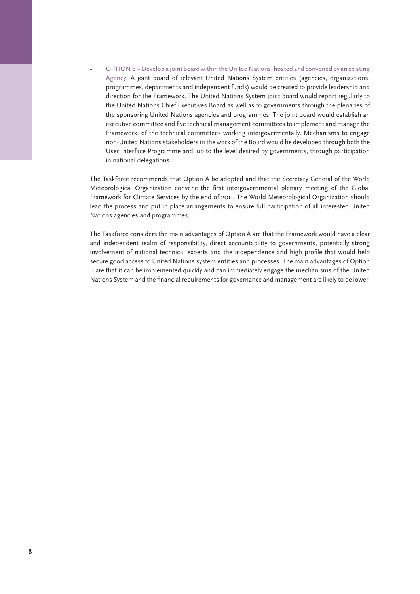• OPTION B – Develop a joint board within the United Nations, hosted and convened by an existing Agency. A joint board of relevant United Nations System entities (agencies, organizations, programmes, departments and independent funds) would be created to provide leadership and direction for the Framework. The United Nations System joint board would report regularly to the United Nations Chief Executives Board as well as to governments through the plenaries of the sponsoring United Nations agencies and programmes. The joint board would establish an executive committee and five technical management committees to implement and manage the Framework, of the technical committees working intergovermentally. Mechanisms to engage non-United Nations stakeholders in the work of the Board would be developed through both the User Interface Programme and, up to the level desired by governments, through participation in national delegations.

The Taskforce recommends that Option A be adopted and that the Secretary General of the World Meteorological Organization convene the first intergovernmental plenary meeting of the Global Framework for Climate Services by the end of 2011. The World Meteorological Organization should lead the process and put in place arrangements to ensure full participation of all interested United Nations agencies and programmes.

The Taskforce considers the main advantages of Option A are that the Framework would have a clear and independent realm of responsibility, direct accountability to governments, potentially strong involvement of national technical experts and the independence and high profile that would help secure good access to United Nations system entities and processes. The main advantages of Option B are that it can be implemented quickly and can immediately engage the mechanisms of the United Nations System and the financial requirements for governance and management are likely to be lower.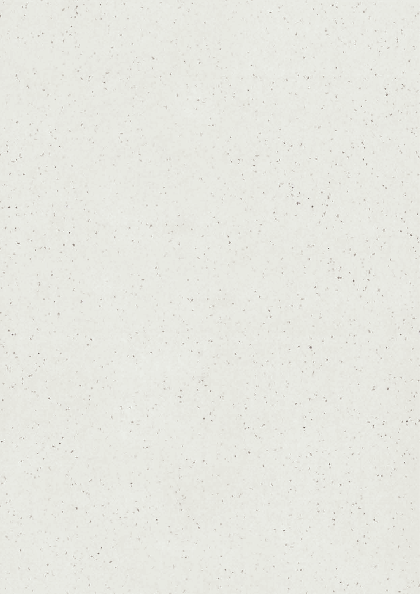